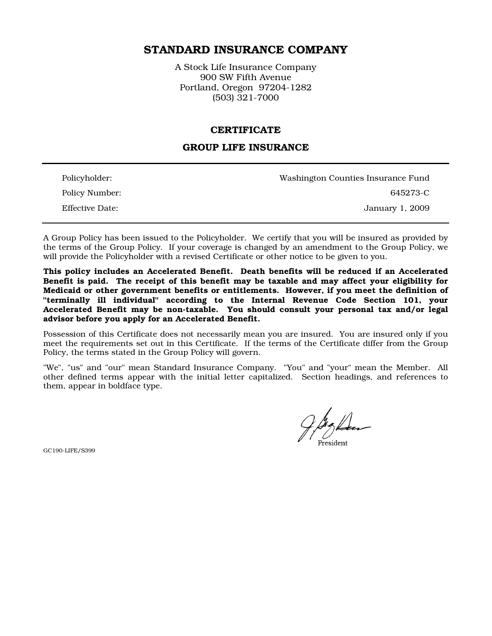# STANDARD INSURANCE COMPANY

A Stock Life Insurance Company 900 SW Fifth Avenue Portland, Oregon 97204-1282 (503) 321-7000

### CERTIFICATE

### GROUP LIFE INSURANCE

| Policyholder:   | Washington Counties Insurance Fund |
|-----------------|------------------------------------|
| Policy Number:  | 645273-C                           |
| Effective Date: | January 1, 2009                    |

A Group Policy has been issued to the Policyholder. We certify that you will be insured as provided by the terms of the Group Policy. If your coverage is changed by an amendment to the Group Policy, we will provide the Policyholder with a revised Certificate or other notice to be given to you.

This policy includes an Accelerated Benefit. Death benefits will be reduced if an Accelerated Benefit is paid. The receipt of this benefit may be taxable and may affect your eligibility for Medicaid or other government benefits or entitlements. However, if you meet the definition of "terminally ill individual" according to the Internal Revenue Code Section 101, your Accelerated Benefit may be non-taxable. You should consult your personal tax and/or legal advisor before you apply for an Accelerated Benefit.

Possession of this Certificate does not necessarily mean you are insured. You are insured only if you meet the requirements set out in this Certificate. If the terms of the Certificate differ from the Group Policy, the terms stated in the Group Policy will govern.

"We", "us" and "our" mean Standard Insurance Company. "You" and "your" mean the Member. All other defined terms appear with the initial letter capitalized. Section headings, and references to them, appear in boldface type.

GC190-LIFE/S399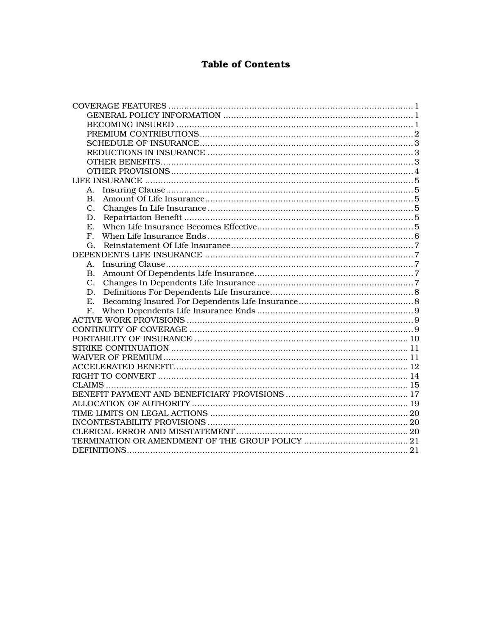# **Table of Contents**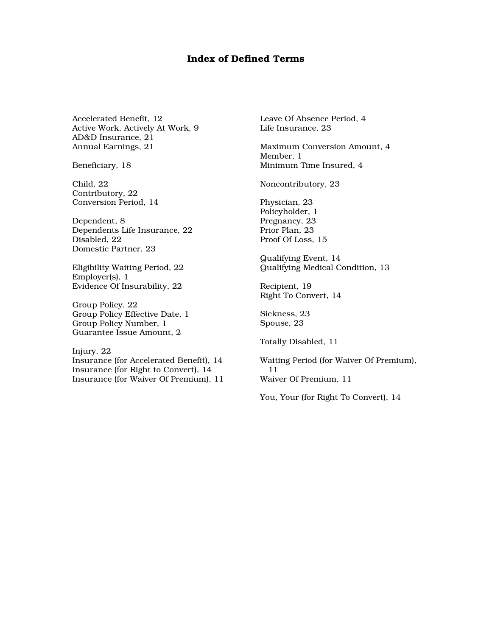# Index of Defined Terms

Accelerated Benefit, 12 Active Work, Actively At Work, 9 AD&D Insurance, 21 Annual Earnings, 21

Beneficiary, 18

Child, 22 Contributory, 22 Conversion Period, 14

Dependent, 8 Dependents Life Insurance, 22 Disabled, 22 Domestic Partner, 23

Eligibility Waiting Period, 22 Employer(s), 1 Evidence Of Insurability, 22

Group Policy, 22 Group Policy Effective Date, 1 Group Policy Number, 1 Guarantee Issue Amount, 2

Injury, 22 Insurance (for Accelerated Benefit), 14 Insurance (for Right to Convert), 14 Insurance (for Waiver Of Premium), 11 Leave Of Absence Period, 4 Life Insurance, 23

Maximum Conversion Amount, 4 Member, 1 Minimum Time Insured, 4

Noncontributory, 23

Physician, 23 Policyholder, 1 Pregnancy, 23 Prior Plan, 23 Proof Of Loss, 15

Qualifying Event, 14 Qualifying Medical Condition, 13

Recipient, 19 Right To Convert, 14

Sickness, 23 Spouse, 23

Totally Disabled, 11

Waiting Period (for Waiver Of Premium), 11 Waiver Of Premium, 11

You, Your (for Right To Convert), 14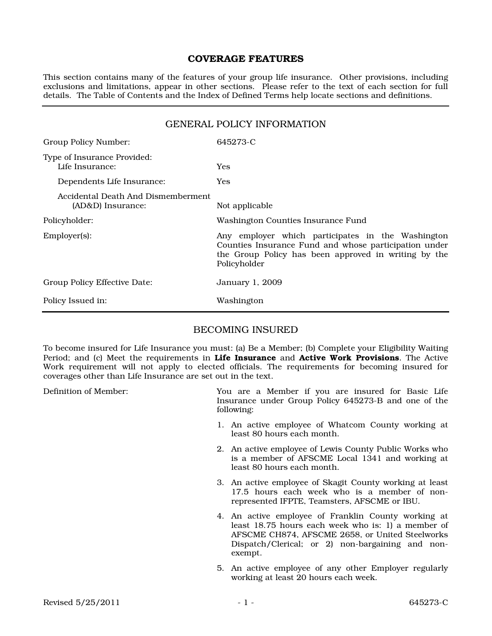### COVERAGE FEATURES

This section contains many of the features of your group life insurance. Other provisions, including exclusions and limitations, appear in other sections. Please refer to the text of each section for full details. The Table of Contents and the Index of Defined Terms help locate sections and definitions.

# GENERAL POLICY INFORMATION Group Policy Number: 645273-C Type of Insurance Provided: Life Insurance: Yes Dependents Life Insurance: Yes Accidental Death And Dismemberment (AD&D) Insurance: Not applicable Policyholder: Washington Counties Insurance Fund Employer(s): Any employer which participates in the Washington Counties Insurance Fund and whose participation under the Group Policy has been approved in writing by the Policyholder Group Policy Effective Date: January 1, 2009 Policy Issued in: Washington

# BECOMING INSURED

To become insured for Life Insurance you must: (a) Be a Member; (b) Complete your Eligibility Waiting Period; and (c) Meet the requirements in Life Insurance and Active Work Provisions. The Active Work requirement will not apply to elected officials. The requirements for becoming insured for coverages other than Life Insurance are set out in the text.

Definition of Member: You are a Member if you are insured for Basic Life Insurance under Group Policy 645273-B and one of the following:

- 1. An active employee of Whatcom County working at least 80 hours each month.
- 2. An active employee of Lewis County Public Works who is a member of AFSCME Local 1341 and working at least 80 hours each month.
- 3. An active employee of Skagit County working at least 17.5 hours each week who is a member of nonrepresented IFPTE, Teamsters, AFSCME or IBU.
- 4. An active employee of Franklin County working at least 18.75 hours each week who is: 1) a member of AFSCME CH874, AFSCME 2658, or United Steelworks Dispatch/Clerical; or 2) non-bargaining and nonexempt.
- 5. An active employee of any other Employer regularly working at least 20 hours each week.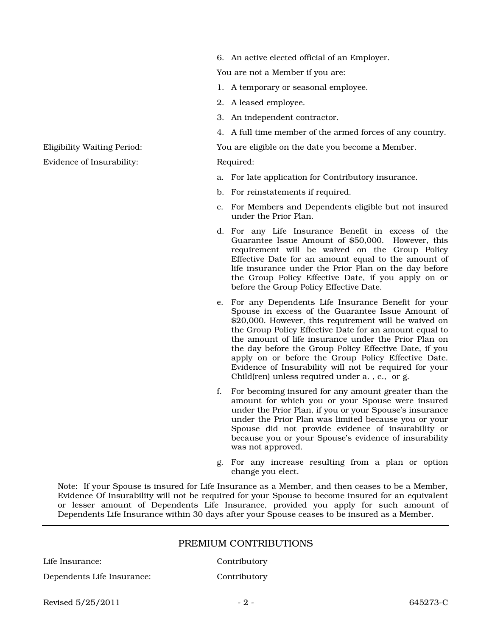6. An active elected official of an Employer.

You are not a Member if you are:

- 1. A temporary or seasonal employee.
- 2. A leased employee.
- 3. An independent contractor.
- 4. A full time member of the armed forces of any country.

Eligibility Waiting Period: You are eligible on the date you become a Member.

#### Evidence of Insurability: Required:

- a. For late application for Contributory insurance.
- b. For reinstatements if required.
- c. For Members and Dependents eligible but not insured under the Prior Plan.
- d. For any Life Insurance Benefit in excess of the Guarantee Issue Amount of \$50,000. However, this requirement will be waived on the Group Policy Effective Date for an amount equal to the amount of life insurance under the Prior Plan on the day before the Group Policy Effective Date, if you apply on or before the Group Policy Effective Date.
- e. For any Dependents Life Insurance Benefit for your Spouse in excess of the Guarantee Issue Amount of \$20,000. However, this requirement will be waived on the Group Policy Effective Date for an amount equal to the amount of life insurance under the Prior Plan on the day before the Group Policy Effective Date, if you apply on or before the Group Policy Effective Date. Evidence of Insurability will not be required for your Child(ren) unless required under a. , c., or g.
- f. For becoming insured for any amount greater than the amount for which you or your Spouse were insured under the Prior Plan, if you or your Spouse's insurance under the Prior Plan was limited because you or your Spouse did not provide evidence of insurability or because you or your Spouse's evidence of insurability was not approved.
- g. For any increase resulting from a plan or option change you elect.

Note: If your Spouse is insured for Life Insurance as a Member, and then ceases to be a Member, Evidence Of Insurability will not be required for your Spouse to become insured for an equivalent or lesser amount of Dependents Life Insurance, provided you apply for such amount of Dependents Life Insurance within 30 days after your Spouse ceases to be insured as a Member.

# PREMIUM CONTRIBUTIONS

Life Insurance: Contributory

Dependents Life Insurance: Contributory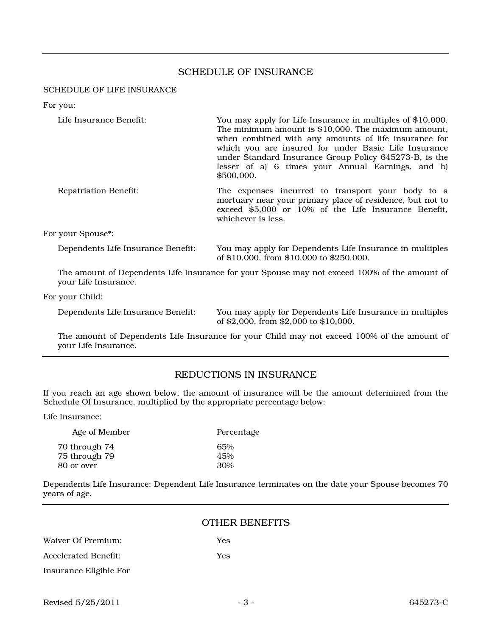# SCHEDULE OF INSURANCE

SCHEDULE OF LIFE INSURANCE

For you:

| Life Insurance Benefit:            | You may apply for Life Insurance in multiples of \$10,000.<br>The minimum amount is \$10,000. The maximum amount,<br>when combined with any amounts of life insurance for<br>which you are insured for under Basic Life Insurance<br>under Standard Insurance Group Policy 645273-B, is the<br>lesser of a) 6 times your Annual Earnings, and b)<br>\$500,000. |
|------------------------------------|----------------------------------------------------------------------------------------------------------------------------------------------------------------------------------------------------------------------------------------------------------------------------------------------------------------------------------------------------------------|
| <b>Repatriation Benefit:</b>       | The expenses incurred to transport your body to a<br>mortuary near your primary place of residence, but not to<br>exceed \$5,000 or 10% of the Life Insurance Benefit,<br>whichever is less.                                                                                                                                                                   |
| For your Spouse*:                  |                                                                                                                                                                                                                                                                                                                                                                |
| Dependents Life Insurance Benefit: | You may apply for Dependents Life Insurance in multiples<br>of \$10,000, from \$10,000 to \$250,000.                                                                                                                                                                                                                                                           |

The amount of Dependents Life Insurance for your Spouse may not exceed 100% of the amount of your Life Insurance.

#### For your Child:

Dependents Life Insurance Benefit: You may apply for Dependents Life Insurance in multiples of \$2,000, from \$2,000 to \$10,000.

The amount of Dependents Life Insurance for your Child may not exceed 100% of the amount of your Life Insurance.

### REDUCTIONS IN INSURANCE

If you reach an age shown below, the amount of insurance will be the amount determined from the Schedule Of Insurance, multiplied by the appropriate percentage below:

Life Insurance:

| Age of Member                                | Percentage        |
|----------------------------------------------|-------------------|
| 70 through 74<br>75 through 79<br>80 or over | 65%<br>45%<br>30% |
|                                              |                   |

Dependents Life Insurance: Dependent Life Insurance terminates on the date your Spouse becomes 70 years of age.

|                        | <b>OTHER BENEFITS</b> |
|------------------------|-----------------------|
| Waiver Of Premium:     | Yes                   |
| Accelerated Benefit:   | Yes                   |
| Insurance Eligible For |                       |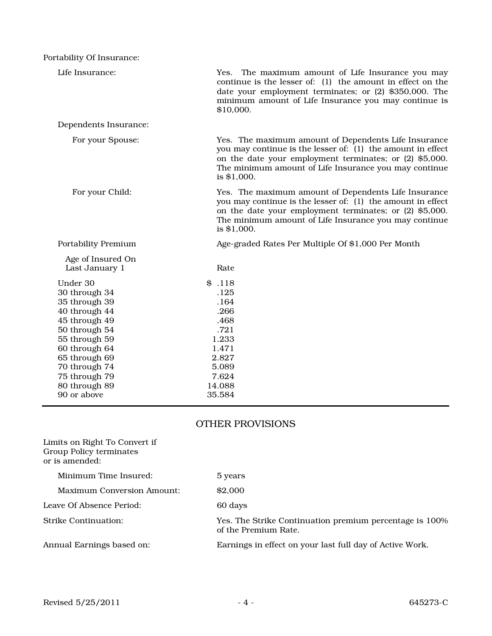| Portability Of Insurance:                                                                                                                                                                                          |                                                                                                                                                                                                                                                            |
|--------------------------------------------------------------------------------------------------------------------------------------------------------------------------------------------------------------------|------------------------------------------------------------------------------------------------------------------------------------------------------------------------------------------------------------------------------------------------------------|
| Life Insurance:                                                                                                                                                                                                    | Yes. The maximum amount of Life Insurance you may<br>continue is the lesser of: (1) the amount in effect on the<br>date your employment terminates; or (2) \$350,000. The<br>minimum amount of Life Insurance you may continue is<br>\$10,000.             |
| Dependents Insurance:                                                                                                                                                                                              |                                                                                                                                                                                                                                                            |
| For your Spouse:                                                                                                                                                                                                   | Yes. The maximum amount of Dependents Life Insurance<br>you may continue is the lesser of: (1) the amount in effect<br>on the date your employment terminates; or $(2)$ \$5,000.<br>The minimum amount of Life Insurance you may continue<br>is $$1,000$ . |
| For your Child:                                                                                                                                                                                                    | Yes. The maximum amount of Dependents Life Insurance<br>you may continue is the lesser of: (1) the amount in effect<br>on the date your employment terminates; or $(2)$ \$5,000.<br>The minimum amount of Life Insurance you may continue<br>is \$1,000.   |
| <b>Portability Premium</b>                                                                                                                                                                                         | Age-graded Rates Per Multiple Of \$1,000 Per Month                                                                                                                                                                                                         |
| Age of Insured On<br>Last January 1                                                                                                                                                                                | Rate                                                                                                                                                                                                                                                       |
| Under 30<br>30 through 34<br>35 through 39<br>40 through 44<br>45 through 49<br>50 through 54<br>55 through 59<br>60 through 64<br>65 through 69<br>70 through 74<br>75 through 79<br>80 through 89<br>90 or above | \$.118<br>.125<br>.164<br>.266<br>.468<br>.721<br>1.233<br>1.471<br>2.827<br>5.089<br>7.624<br>14.088<br>35.584                                                                                                                                            |
|                                                                                                                                                                                                                    |                                                                                                                                                                                                                                                            |

# OTHER PROVISIONS

| Limits on Right To Convert if<br>Group Policy terminates<br>or is amended: |                                                                                 |
|----------------------------------------------------------------------------|---------------------------------------------------------------------------------|
| Minimum Time Insured:                                                      | 5 years                                                                         |
| <b>Maximum Conversion Amount:</b>                                          | \$2,000                                                                         |
| Leave Of Absence Period:                                                   | 60 days                                                                         |
| <b>Strike Continuation:</b>                                                | Yes. The Strike Continuation premium percentage is 100%<br>of the Premium Rate. |
| Annual Earnings based on:                                                  | Earnings in effect on your last full day of Active Work.                        |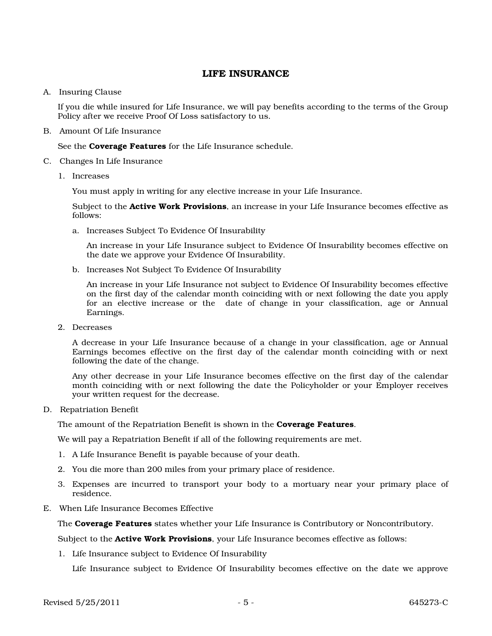# LIFE INSURANCE

#### A. Insuring Clause

If you die while insured for Life Insurance, we will pay benefits according to the terms of the Group Policy after we receive Proof Of Loss satisfactory to us.

B. Amount Of Life Insurance

See the **Coverage Features** for the Life Insurance schedule.

- C. Changes In Life Insurance
	- 1. Increases

You must apply in writing for any elective increase in your Life Insurance.

Subject to the Active Work Provisions, an increase in your Life Insurance becomes effective as follows:

a. Increases Subject To Evidence Of Insurability

An increase in your Life Insurance subject to Evidence Of Insurability becomes effective on the date we approve your Evidence Of Insurability.

b. Increases Not Subject To Evidence Of Insurability

An increase in your Life Insurance not subject to Evidence Of Insurability becomes effective on the first day of the calendar month coinciding with or next following the date you apply for an elective increase or the date of change in your classification, age or Annual Earnings.

2. Decreases

A decrease in your Life Insurance because of a change in your classification, age or Annual Earnings becomes effective on the first day of the calendar month coinciding with or next following the date of the change.

Any other decrease in your Life Insurance becomes effective on the first day of the calendar month coinciding with or next following the date the Policyholder or your Employer receives your written request for the decrease.

D. Repatriation Benefit

The amount of the Repatriation Benefit is shown in the **Coverage Features**.

We will pay a Repatriation Benefit if all of the following requirements are met.

- 1. A Life Insurance Benefit is payable because of your death.
- 2. You die more than 200 miles from your primary place of residence.
- 3. Expenses are incurred to transport your body to a mortuary near your primary place of residence.
- E. When Life Insurance Becomes Effective

The Coverage Features states whether your Life Insurance is Contributory or Noncontributory.

Subject to the **Active Work Provisions**, your Life Insurance becomes effective as follows:

1. Life Insurance subject to Evidence Of Insurability

Life Insurance subject to Evidence Of Insurability becomes effective on the date we approve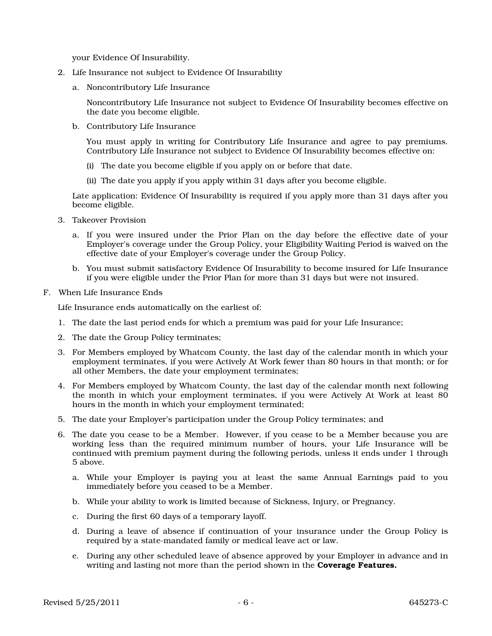your Evidence Of Insurability.

- 2. Life Insurance not subject to Evidence Of Insurability
	- a. Noncontributory Life Insurance

Noncontributory Life Insurance not subject to Evidence Of Insurability becomes effective on the date you become eligible.

b. Contributory Life Insurance

You must apply in writing for Contributory Life Insurance and agree to pay premiums. Contributory Life Insurance not subject to Evidence Of Insurability becomes effective on:

- (i) The date you become eligible if you apply on or before that date.
- (ii) The date you apply if you apply within 31 days after you become eligible.

Late application: Evidence Of Insurability is required if you apply more than 31 days after you become eligible.

- 3. Takeover Provision
	- a. If you were insured under the Prior Plan on the day before the effective date of your Employer's coverage under the Group Policy, your Eligibility Waiting Period is waived on the effective date of your Employer's coverage under the Group Policy.
	- b. You must submit satisfactory Evidence Of Insurability to become insured for Life Insurance if you were eligible under the Prior Plan for more than 31 days but were not insured.
- F. When Life Insurance Ends

Life Insurance ends automatically on the earliest of:

- 1. The date the last period ends for which a premium was paid for your Life Insurance;
- 2. The date the Group Policy terminates;
- 3. For Members employed by Whatcom County, the last day of the calendar month in which your employment terminates, if you were Actively At Work fewer than 80 hours in that month; or for all other Members, the date your employment terminates;
- 4. For Members employed by Whatcom County, the last day of the calendar month next following the month in which your employment terminates, if you were Actively At Work at least 80 hours in the month in which your employment terminated;
- 5. The date your Employer's participation under the Group Policy terminates; and
- 6. The date you cease to be a Member. However, if you cease to be a Member because you are working less than the required minimum number of hours, your Life Insurance will be continued with premium payment during the following periods, unless it ends under 1 through 5 above.
	- a. While your Employer is paying you at least the same Annual Earnings paid to you immediately before you ceased to be a Member.
	- b. While your ability to work is limited because of Sickness, Injury, or Pregnancy.
	- c. During the first 60 days of a temporary layoff.
	- d. During a leave of absence if continuation of your insurance under the Group Policy is required by a state-mandated family or medical leave act or law.
	- e. During any other scheduled leave of absence approved by your Employer in advance and in writing and lasting not more than the period shown in the Coverage Features.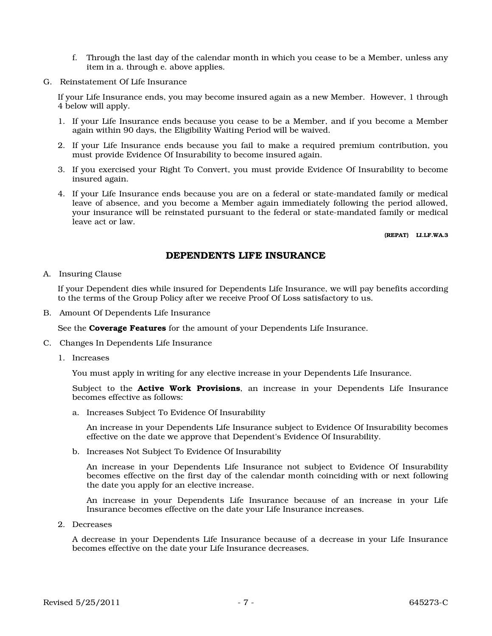- f. Through the last day of the calendar month in which you cease to be a Member, unless any item in a. through e. above applies.
- G. Reinstatement Of Life Insurance

If your Life Insurance ends, you may become insured again as a new Member. However, 1 through 4 below will apply.

- 1. If your Life Insurance ends because you cease to be a Member, and if you become a Member again within 90 days, the Eligibility Waiting Period will be waived.
- 2. If your Life Insurance ends because you fail to make a required premium contribution, you must provide Evidence Of Insurability to become insured again.
- 3. If you exercised your Right To Convert, you must provide Evidence Of Insurability to become insured again.
- 4. If your Life Insurance ends because you are on a federal or state-mandated family or medical leave of absence, and you become a Member again immediately following the period allowed, your insurance will be reinstated pursuant to the federal or state-mandated family or medical leave act or law.

(REPAT) LI.LF.WA.3

# DEPENDENTS LIFE INSURANCE

A. Insuring Clause

If your Dependent dies while insured for Dependents Life Insurance, we will pay benefits according to the terms of the Group Policy after we receive Proof Of Loss satisfactory to us.

B. Amount Of Dependents Life Insurance

See the **Coverage Features** for the amount of your Dependents Life Insurance.

- C. Changes In Dependents Life Insurance
	- 1. Increases

You must apply in writing for any elective increase in your Dependents Life Insurance.

Subject to the **Active Work Provisions**, an increase in your Dependents Life Insurance becomes effective as follows:

a. Increases Subject To Evidence Of Insurability

An increase in your Dependents Life Insurance subject to Evidence Of Insurability becomes effective on the date we approve that Dependent's Evidence Of Insurability.

b. Increases Not Subject To Evidence Of Insurability

An increase in your Dependents Life Insurance not subject to Evidence Of Insurability becomes effective on the first day of the calendar month coinciding with or next following the date you apply for an elective increase.

An increase in your Dependents Life Insurance because of an increase in your Life Insurance becomes effective on the date your Life Insurance increases.

2. Decreases

A decrease in your Dependents Life Insurance because of a decrease in your Life Insurance becomes effective on the date your Life Insurance decreases.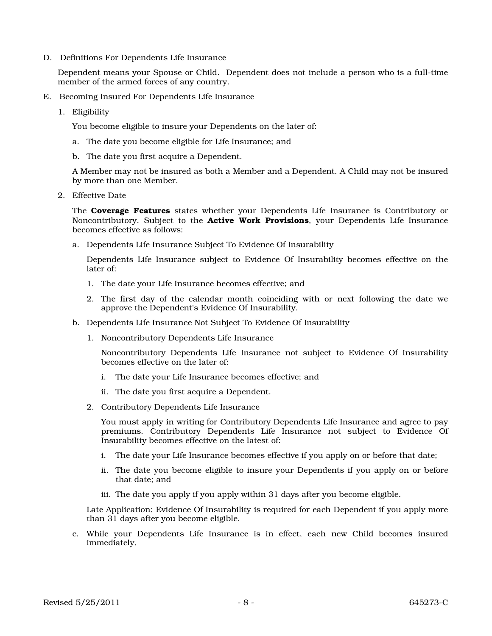D. Definitions For Dependents Life Insurance

Dependent means your Spouse or Child. Dependent does not include a person who is a full-time member of the armed forces of any country.

- E. Becoming Insured For Dependents Life Insurance
	- 1. Eligibility

You become eligible to insure your Dependents on the later of:

- a. The date you become eligible for Life Insurance; and
- b. The date you first acquire a Dependent.

A Member may not be insured as both a Member and a Dependent. A Child may not be insured by more than one Member.

2. Effective Date

The **Coverage Features** states whether your Dependents Life Insurance is Contributory or Noncontributory. Subject to the **Active Work Provisions**, your Dependents Life Insurance becomes effective as follows:

a. Dependents Life Insurance Subject To Evidence Of Insurability

Dependents Life Insurance subject to Evidence Of Insurability becomes effective on the later of:

- 1. The date your Life Insurance becomes effective; and
- 2. The first day of the calendar month coinciding with or next following the date we approve the Dependent's Evidence Of Insurability.
- b. Dependents Life Insurance Not Subject To Evidence Of Insurability
	- 1. Noncontributory Dependents Life Insurance

Noncontributory Dependents Life Insurance not subject to Evidence Of Insurability becomes effective on the later of:

- i. The date your Life Insurance becomes effective; and
- ii. The date you first acquire a Dependent.
- 2. Contributory Dependents Life Insurance

You must apply in writing for Contributory Dependents Life Insurance and agree to pay premiums. Contributory Dependents Life Insurance not subject to Evidence Of Insurability becomes effective on the latest of:

- i. The date your Life Insurance becomes effective if you apply on or before that date;
- ii. The date you become eligible to insure your Dependents if you apply on or before that date; and
- iii. The date you apply if you apply within 31 days after you become eligible.

Late Application: Evidence Of Insurability is required for each Dependent if you apply more than 31 days after you become eligible.

c. While your Dependents Life Insurance is in effect, each new Child becomes insured immediately.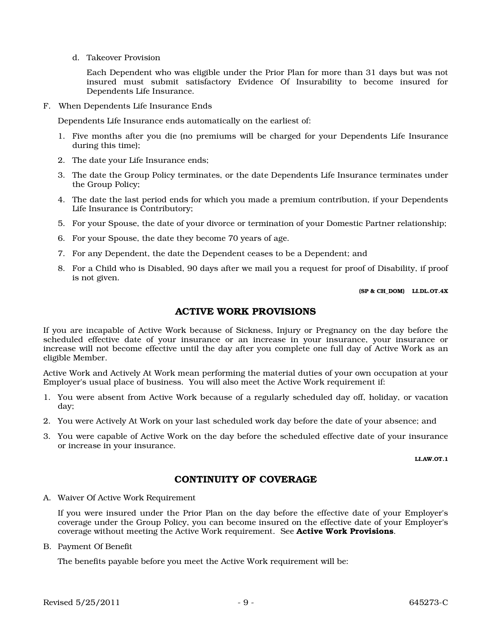d. Takeover Provision

Each Dependent who was eligible under the Prior Plan for more than 31 days but was not insured must submit satisfactory Evidence Of Insurability to become insured for Dependents Life Insurance.

F. When Dependents Life Insurance Ends

Dependents Life Insurance ends automatically on the earliest of:

- 1. Five months after you die (no premiums will be charged for your Dependents Life Insurance during this time);
- 2. The date your Life Insurance ends;
- 3. The date the Group Policy terminates, or the date Dependents Life Insurance terminates under the Group Policy;
- 4. The date the last period ends for which you made a premium contribution, if your Dependents Life Insurance is Contributory;
- 5. For your Spouse, the date of your divorce or termination of your Domestic Partner relationship;
- 6. For your Spouse, the date they become 70 years of age.
- 7. For any Dependent, the date the Dependent ceases to be a Dependent; and
- 8. For a Child who is Disabled, 90 days after we mail you a request for proof of Disability, if proof is not given.

(SP & CH\_DOM) LI.DL.OT.4X

## ACTIVE WORK PROVISIONS

If you are incapable of Active Work because of Sickness, Injury or Pregnancy on the day before the scheduled effective date of your insurance or an increase in your insurance, your insurance or increase will not become effective until the day after you complete one full day of Active Work as an eligible Member.

Active Work and Actively At Work mean performing the material duties of your own occupation at your Employer's usual place of business. You will also meet the Active Work requirement if:

- 1. You were absent from Active Work because of a regularly scheduled day off, holiday, or vacation day;
- 2. You were Actively At Work on your last scheduled work day before the date of your absence; and
- 3. You were capable of Active Work on the day before the scheduled effective date of your insurance or increase in your insurance.

LI.AW.OT.1

# CONTINUITY OF COVERAGE

A. Waiver Of Active Work Requirement

If you were insured under the Prior Plan on the day before the effective date of your Employer's coverage under the Group Policy, you can become insured on the effective date of your Employer's coverage without meeting the Active Work requirement. See Active Work Provisions.

B. Payment Of Benefit

The benefits payable before you meet the Active Work requirement will be: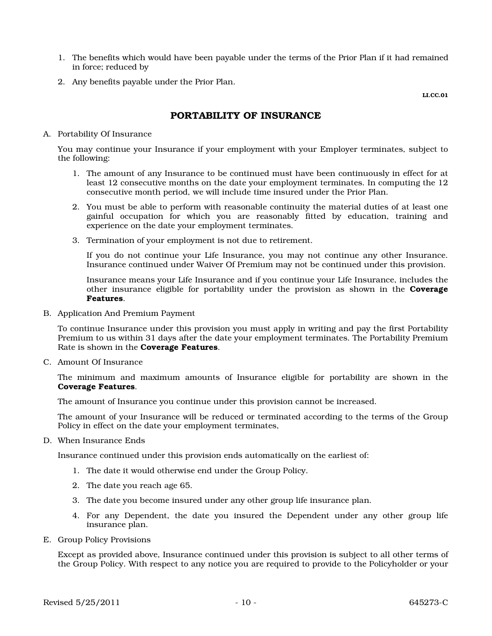- 1. The benefits which would have been payable under the terms of the Prior Plan if it had remained in force; reduced by
- 2. Any benefits payable under the Prior Plan.

LI.CC.01

# PORTABILITY OF INSURANCE

A. Portability Of Insurance

You may continue your Insurance if your employment with your Employer terminates, subject to the following:

- 1. The amount of any Insurance to be continued must have been continuously in effect for at least 12 consecutive months on the date your employment terminates. In computing the 12 consecutive month period, we will include time insured under the Prior Plan.
- 2. You must be able to perform with reasonable continuity the material duties of at least one gainful occupation for which you are reasonably fitted by education, training and experience on the date your employment terminates.
- 3. Termination of your employment is not due to retirement.

If you do not continue your Life Insurance, you may not continue any other Insurance. Insurance continued under Waiver Of Premium may not be continued under this provision.

Insurance means your Life Insurance and if you continue your Life Insurance, includes the other insurance eligible for portability under the provision as shown in the **Coverage** Features.

B. Application And Premium Payment

To continue Insurance under this provision you must apply in writing and pay the first Portability Premium to us within 31 days after the date your employment terminates. The Portability Premium Rate is shown in the Coverage Features.

C. Amount Of Insurance

The minimum and maximum amounts of Insurance eligible for portability are shown in the Coverage Features.

The amount of Insurance you continue under this provision cannot be increased.

The amount of your Insurance will be reduced or terminated according to the terms of the Group Policy in effect on the date your employment terminates,

D. When Insurance Ends

Insurance continued under this provision ends automatically on the earliest of:

- 1. The date it would otherwise end under the Group Policy.
- 2. The date you reach age 65.
- 3. The date you become insured under any other group life insurance plan.
- 4. For any Dependent, the date you insured the Dependent under any other group life insurance plan.
- E. Group Policy Provisions

Except as provided above, Insurance continued under this provision is subject to all other terms of the Group Policy. With respect to any notice you are required to provide to the Policyholder or your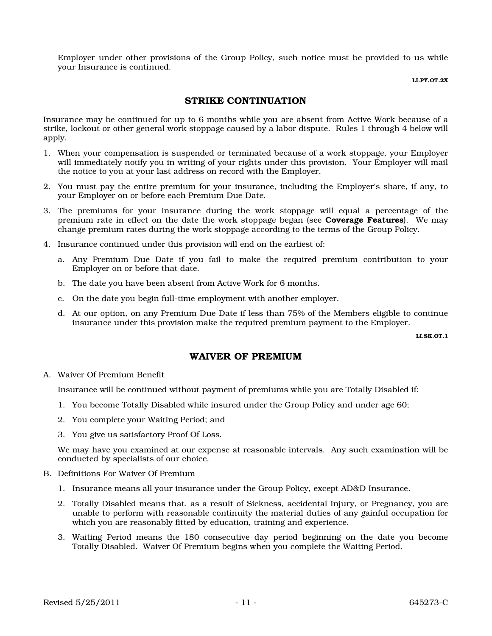Employer under other provisions of the Group Policy, such notice must be provided to us while your Insurance is continued.

LI.PY.OT.2X

# STRIKE CONTINUATION

Insurance may be continued for up to 6 months while you are absent from Active Work because of a strike, lockout or other general work stoppage caused by a labor dispute. Rules 1 through 4 below will apply.

- 1. When your compensation is suspended or terminated because of a work stoppage, your Employer will immediately notify you in writing of your rights under this provision. Your Employer will mail the notice to you at your last address on record with the Employer.
- 2. You must pay the entire premium for your insurance, including the Employer's share, if any, to your Employer on or before each Premium Due Date.
- 3. The premiums for your insurance during the work stoppage will equal a percentage of the premium rate in effect on the date the work stoppage began (see Coverage Features). We may change premium rates during the work stoppage according to the terms of the Group Policy.
- 4. Insurance continued under this provision will end on the earliest of:
	- a. Any Premium Due Date if you fail to make the required premium contribution to your Employer on or before that date.
	- b. The date you have been absent from Active Work for 6 months.
	- c. On the date you begin full-time employment with another employer.
	- d. At our option, on any Premium Due Date if less than 75% of the Members eligible to continue insurance under this provision make the required premium payment to the Employer.

LI.SK.OT.1

### WAIVER OF PREMIUM

A. Waiver Of Premium Benefit

Insurance will be continued without payment of premiums while you are Totally Disabled if:

- 1. You become Totally Disabled while insured under the Group Policy and under age 60;
- 2. You complete your Waiting Period; and
- 3. You give us satisfactory Proof Of Loss.

We may have you examined at our expense at reasonable intervals. Any such examination will be conducted by specialists of our choice.

- B. Definitions For Waiver Of Premium
	- 1. Insurance means all your insurance under the Group Policy, except AD&D Insurance.
	- 2. Totally Disabled means that, as a result of Sickness, accidental Injury, or Pregnancy, you are unable to perform with reasonable continuity the material duties of any gainful occupation for which you are reasonably fitted by education, training and experience.
	- 3. Waiting Period means the 180 consecutive day period beginning on the date you become Totally Disabled. Waiver Of Premium begins when you complete the Waiting Period.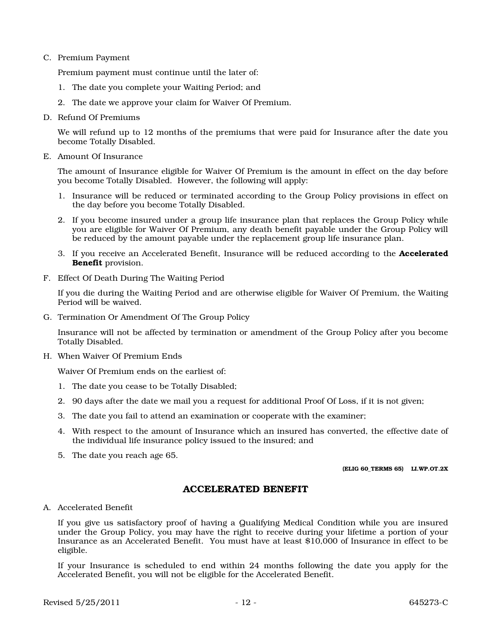### C. Premium Payment

Premium payment must continue until the later of:

- 1. The date you complete your Waiting Period; and
- 2. The date we approve your claim for Waiver Of Premium.
- D. Refund Of Premiums

We will refund up to 12 months of the premiums that were paid for Insurance after the date you become Totally Disabled.

E. Amount Of Insurance

The amount of Insurance eligible for Waiver Of Premium is the amount in effect on the day before you become Totally Disabled. However, the following will apply:

- 1. Insurance will be reduced or terminated according to the Group Policy provisions in effect on the day before you become Totally Disabled.
- 2. If you become insured under a group life insurance plan that replaces the Group Policy while you are eligible for Waiver Of Premium, any death benefit payable under the Group Policy will be reduced by the amount payable under the replacement group life insurance plan.
- 3. If you receive an Accelerated Benefit, Insurance will be reduced according to the Accelerated Benefit provision.
- F. Effect Of Death During The Waiting Period

If you die during the Waiting Period and are otherwise eligible for Waiver Of Premium, the Waiting Period will be waived.

G. Termination Or Amendment Of The Group Policy

Insurance will not be affected by termination or amendment of the Group Policy after you become Totally Disabled.

H. When Waiver Of Premium Ends

Waiver Of Premium ends on the earliest of:

- 1. The date you cease to be Totally Disabled;
- 2. 90 days after the date we mail you a request for additional Proof Of Loss, if it is not given;
- 3. The date you fail to attend an examination or cooperate with the examiner;
- 4. With respect to the amount of Insurance which an insured has converted, the effective date of the individual life insurance policy issued to the insured; and
- 5. The date you reach age 65.

(ELIG 60\_TERMS 65) LI.WP.OT.2X

# ACCELERATED BENEFIT

A. Accelerated Benefit

If you give us satisfactory proof of having a Qualifying Medical Condition while you are insured under the Group Policy, you may have the right to receive during your lifetime a portion of your Insurance as an Accelerated Benefit. You must have at least \$10,000 of Insurance in effect to be eligible.

If your Insurance is scheduled to end within 24 months following the date you apply for the Accelerated Benefit, you will not be eligible for the Accelerated Benefit.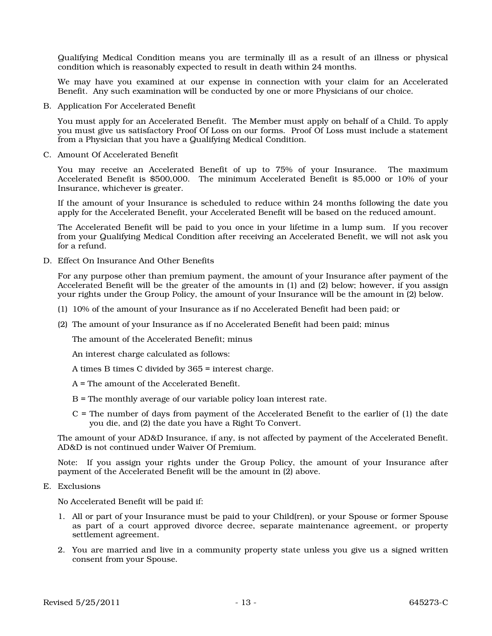Qualifying Medical Condition means you are terminally ill as a result of an illness or physical condition which is reasonably expected to result in death within 24 months.

We may have you examined at our expense in connection with your claim for an Accelerated Benefit. Any such examination will be conducted by one or more Physicians of our choice.

B. Application For Accelerated Benefit

You must apply for an Accelerated Benefit. The Member must apply on behalf of a Child. To apply you must give us satisfactory Proof Of Loss on our forms. Proof Of Loss must include a statement from a Physician that you have a Qualifying Medical Condition.

C. Amount Of Accelerated Benefit

You may receive an Accelerated Benefit of up to 75% of your Insurance. The maximum Accelerated Benefit is \$500,000. The minimum Accelerated Benefit is \$5,000 or 10% of your Insurance, whichever is greater.

If the amount of your Insurance is scheduled to reduce within 24 months following the date you apply for the Accelerated Benefit, your Accelerated Benefit will be based on the reduced amount.

The Accelerated Benefit will be paid to you once in your lifetime in a lump sum. If you recover from your Qualifying Medical Condition after receiving an Accelerated Benefit, we will not ask you for a refund.

D. Effect On Insurance And Other Benefits

For any purpose other than premium payment, the amount of your Insurance after payment of the Accelerated Benefit will be the greater of the amounts in (1) and (2) below; however, if you assign your rights under the Group Policy, the amount of your Insurance will be the amount in (2) below.

- (1) 10% of the amount of your Insurance as if no Accelerated Benefit had been paid; or
- (2) The amount of your Insurance as if no Accelerated Benefit had been paid; minus

The amount of the Accelerated Benefit; minus

An interest charge calculated as follows:

A times B times C divided by 365 = interest charge.

- A = The amount of the Accelerated Benefit.
- B = The monthly average of our variable policy loan interest rate.
- C = The number of days from payment of the Accelerated Benefit to the earlier of (1) the date you die, and (2) the date you have a Right To Convert.

The amount of your AD&D Insurance, if any, is not affected by payment of the Accelerated Benefit. AD&D is not continued under Waiver Of Premium.

Note: If you assign your rights under the Group Policy, the amount of your Insurance after payment of the Accelerated Benefit will be the amount in (2) above.

E. Exclusions

No Accelerated Benefit will be paid if:

- 1. All or part of your Insurance must be paid to your Child(ren), or your Spouse or former Spouse as part of a court approved divorce decree, separate maintenance agreement, or property settlement agreement.
- 2. You are married and live in a community property state unless you give us a signed written consent from your Spouse.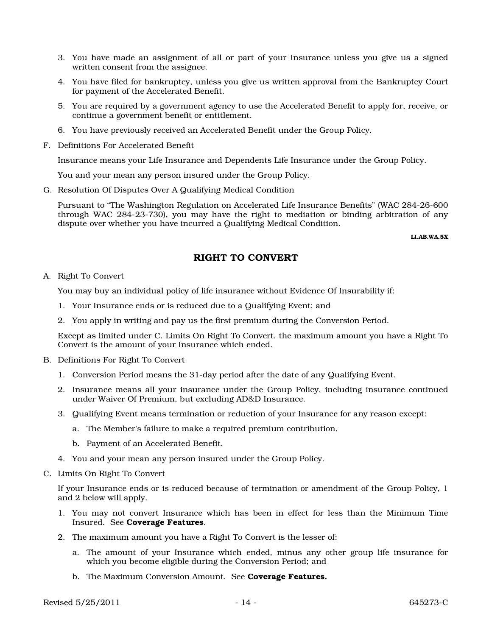- 3. You have made an assignment of all or part of your Insurance unless you give us a signed written consent from the assignee.
- 4. You have filed for bankruptcy, unless you give us written approval from the Bankruptcy Court for payment of the Accelerated Benefit.
- 5. You are required by a government agency to use the Accelerated Benefit to apply for, receive, or continue a government benefit or entitlement.
- 6. You have previously received an Accelerated Benefit under the Group Policy.
- F. Definitions For Accelerated Benefit

Insurance means your Life Insurance and Dependents Life Insurance under the Group Policy.

You and your mean any person insured under the Group Policy.

G. Resolution Of Disputes Over A Qualifying Medical Condition

Pursuant to "The Washington Regulation on Accelerated Life Insurance Benefits" (WAC 284-26-600 through WAC 284-23-730), you may have the right to mediation or binding arbitration of any dispute over whether you have incurred a Qualifying Medical Condition.

LI.AB.WA.5X

### RIGHT TO CONVERT

A. Right To Convert

You may buy an individual policy of life insurance without Evidence Of Insurability if:

- 1. Your Insurance ends or is reduced due to a Qualifying Event; and
- 2. You apply in writing and pay us the first premium during the Conversion Period.

Except as limited under C. Limits On Right To Convert, the maximum amount you have a Right To Convert is the amount of your Insurance which ended.

- B. Definitions For Right To Convert
	- 1. Conversion Period means the 31-day period after the date of any Qualifying Event.
	- 2. Insurance means all your insurance under the Group Policy, including insurance continued under Waiver Of Premium, but excluding AD&D Insurance.
	- 3. Qualifying Event means termination or reduction of your Insurance for any reason except:
		- a. The Member's failure to make a required premium contribution.
		- b. Payment of an Accelerated Benefit.
	- 4. You and your mean any person insured under the Group Policy.
- C. Limits On Right To Convert

If your Insurance ends or is reduced because of termination or amendment of the Group Policy, 1 and 2 below will apply.

- 1. You may not convert Insurance which has been in effect for less than the Minimum Time Insured. See Coverage Features.
- 2. The maximum amount you have a Right To Convert is the lesser of:
	- a. The amount of your Insurance which ended, minus any other group life insurance for which you become eligible during the Conversion Period; and
	- b. The Maximum Conversion Amount. See Coverage Features.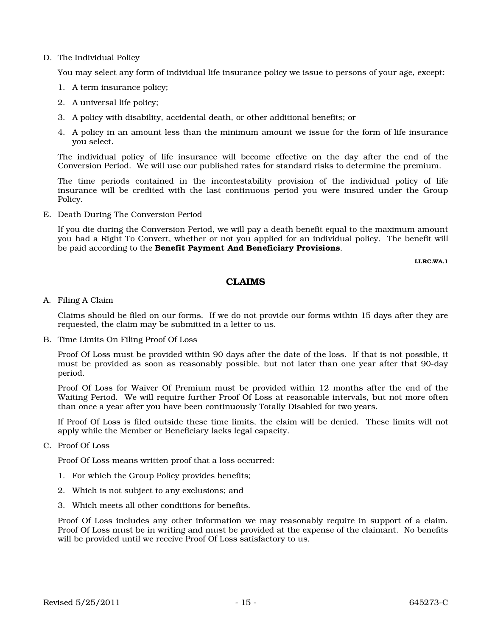### D. The Individual Policy

You may select any form of individual life insurance policy we issue to persons of your age, except:

- 1. A term insurance policy;
- 2. A universal life policy;
- 3. A policy with disability, accidental death, or other additional benefits; or
- 4. A policy in an amount less than the minimum amount we issue for the form of life insurance you select.

The individual policy of life insurance will become effective on the day after the end of the Conversion Period. We will use our published rates for standard risks to determine the premium.

The time periods contained in the incontestability provision of the individual policy of life insurance will be credited with the last continuous period you were insured under the Group Policy.

E. Death During The Conversion Period

If you die during the Conversion Period, we will pay a death benefit equal to the maximum amount you had a Right To Convert, whether or not you applied for an individual policy. The benefit will be paid according to the Benefit Payment And Beneficiary Provisions.

LI.RC.WA.1

### CLAIMS

A. Filing A Claim

Claims should be filed on our forms. If we do not provide our forms within 15 days after they are requested, the claim may be submitted in a letter to us.

B. Time Limits On Filing Proof Of Loss

Proof Of Loss must be provided within 90 days after the date of the loss. If that is not possible, it must be provided as soon as reasonably possible, but not later than one year after that 90-day period.

Proof Of Loss for Waiver Of Premium must be provided within 12 months after the end of the Waiting Period. We will require further Proof Of Loss at reasonable intervals, but not more often than once a year after you have been continuously Totally Disabled for two years.

If Proof Of Loss is filed outside these time limits, the claim will be denied. These limits will not apply while the Member or Beneficiary lacks legal capacity.

C. Proof Of Loss

Proof Of Loss means written proof that a loss occurred:

- 1. For which the Group Policy provides benefits;
- 2. Which is not subject to any exclusions; and
- 3. Which meets all other conditions for benefits.

Proof Of Loss includes any other information we may reasonably require in support of a claim. Proof Of Loss must be in writing and must be provided at the expense of the claimant. No benefits will be provided until we receive Proof Of Loss satisfactory to us.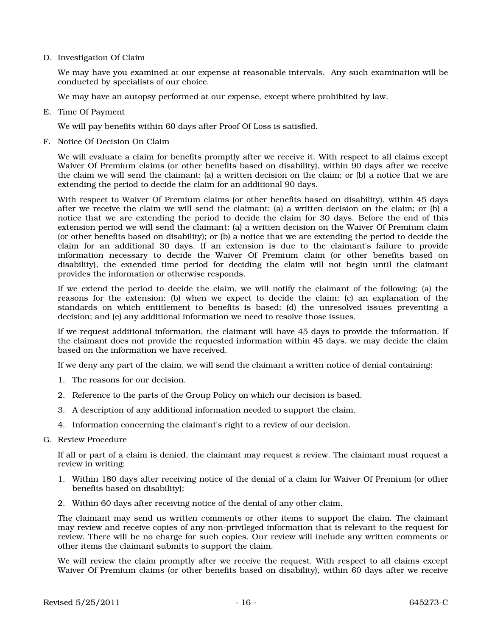### D. Investigation Of Claim

We may have you examined at our expense at reasonable intervals. Any such examination will be conducted by specialists of our choice.

We may have an autopsy performed at our expense, except where prohibited by law.

E. Time Of Payment

We will pay benefits within 60 days after Proof Of Loss is satisfied.

F. Notice Of Decision On Claim

We will evaluate a claim for benefits promptly after we receive it. With respect to all claims except Waiver Of Premium claims (or other benefits based on disability), within 90 days after we receive the claim we will send the claimant: (a) a written decision on the claim; or (b) a notice that we are extending the period to decide the claim for an additional 90 days.

With respect to Waiver Of Premium claims (or other benefits based on disability), within 45 days after we receive the claim we will send the claimant: (a) a written decision on the claim; or (b) a notice that we are extending the period to decide the claim for 30 days. Before the end of this extension period we will send the claimant: (a) a written decision on the Waiver Of Premium claim (or other benefits based on disability); or (b) a notice that we are extending the period to decide the claim for an additional 30 days. If an extension is due to the claimant's failure to provide information necessary to decide the Waiver Of Premium claim (or other benefits based on disability), the extended time period for deciding the claim will not begin until the claimant provides the information or otherwise responds.

If we extend the period to decide the claim, we will notify the claimant of the following: (a) the reasons for the extension; (b) when we expect to decide the claim; (c) an explanation of the standards on which entitlement to benefits is based; (d) the unresolved issues preventing a decision; and (e) any additional information we need to resolve those issues.

If we request additional information, the claimant will have 45 days to provide the information. If the claimant does not provide the requested information within 45 days, we may decide the claim based on the information we have received.

If we deny any part of the claim, we will send the claimant a written notice of denial containing:

- 1. The reasons for our decision.
- 2. Reference to the parts of the Group Policy on which our decision is based.
- 3. A description of any additional information needed to support the claim.
- 4. Information concerning the claimant's right to a review of our decision.
- G. Review Procedure

If all or part of a claim is denied, the claimant may request a review. The claimant must request a review in writing:

- 1. Within 180 days after receiving notice of the denial of a claim for Waiver Of Premium (or other benefits based on disability);
- 2. Within 60 days after receiving notice of the denial of any other claim.

The claimant may send us written comments or other items to support the claim. The claimant may review and receive copies of any non-privileged information that is relevant to the request for review. There will be no charge for such copies. Our review will include any written comments or other items the claimant submits to support the claim.

We will review the claim promptly after we receive the request. With respect to all claims except Waiver Of Premium claims (or other benefits based on disability), within 60 days after we receive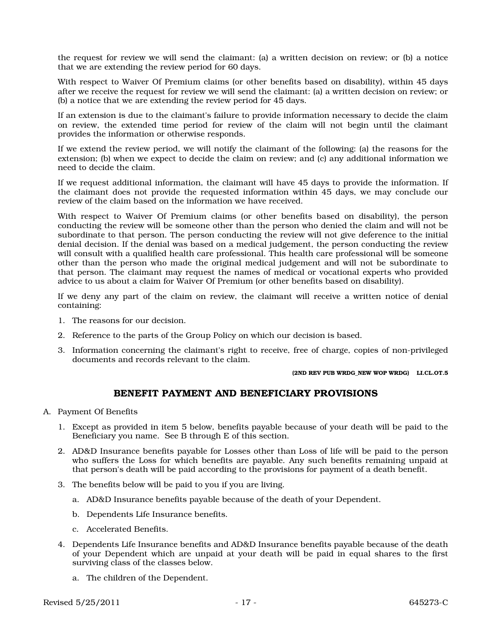the request for review we will send the claimant: (a) a written decision on review; or (b) a notice that we are extending the review period for 60 days.

With respect to Waiver Of Premium claims (or other benefits based on disability), within 45 days after we receive the request for review we will send the claimant: (a) a written decision on review; or (b) a notice that we are extending the review period for 45 days.

If an extension is due to the claimant's failure to provide information necessary to decide the claim on review, the extended time period for review of the claim will not begin until the claimant provides the information or otherwise responds.

If we extend the review period, we will notify the claimant of the following: (a) the reasons for the extension; (b) when we expect to decide the claim on review; and (c) any additional information we need to decide the claim.

If we request additional information, the claimant will have 45 days to provide the information. If the claimant does not provide the requested information within 45 days, we may conclude our review of the claim based on the information we have received.

With respect to Waiver Of Premium claims (or other benefits based on disability), the person conducting the review will be someone other than the person who denied the claim and will not be subordinate to that person. The person conducting the review will not give deference to the initial denial decision. If the denial was based on a medical judgement, the person conducting the review will consult with a qualified health care professional. This health care professional will be someone other than the person who made the original medical judgement and will not be subordinate to that person. The claimant may request the names of medical or vocational experts who provided advice to us about a claim for Waiver Of Premium (or other benefits based on disability).

If we deny any part of the claim on review, the claimant will receive a written notice of denial containing:

- 1. The reasons for our decision.
- 2. Reference to the parts of the Group Policy on which our decision is based.
- 3. Information concerning the claimant's right to receive, free of charge, copies of non-privileged documents and records relevant to the claim.

(2ND REV PUB WRDG\_NEW WOP WRDG) LI.CL.OT.5

# BENEFIT PAYMENT AND BENEFICIARY PROVISIONS

- A. Payment Of Benefits
	- 1. Except as provided in item 5 below, benefits payable because of your death will be paid to the Beneficiary you name. See B through E of this section.
	- 2. AD&D Insurance benefits payable for Losses other than Loss of life will be paid to the person who suffers the Loss for which benefits are payable. Any such benefits remaining unpaid at that person's death will be paid according to the provisions for payment of a death benefit.
	- 3. The benefits below will be paid to you if you are living.
		- a. AD&D Insurance benefits payable because of the death of your Dependent.
		- b. Dependents Life Insurance benefits.
		- c. Accelerated Benefits.
	- 4. Dependents Life Insurance benefits and AD&D Insurance benefits payable because of the death of your Dependent which are unpaid at your death will be paid in equal shares to the first surviving class of the classes below.
		- a. The children of the Dependent.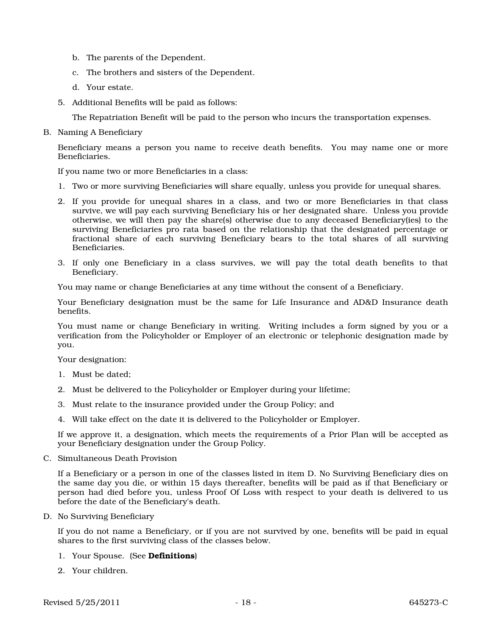- b. The parents of the Dependent.
- c. The brothers and sisters of the Dependent.
- d. Your estate.
- 5. Additional Benefits will be paid as follows:

The Repatriation Benefit will be paid to the person who incurs the transportation expenses.

B. Naming A Beneficiary

Beneficiary means a person you name to receive death benefits. You may name one or more Beneficiaries.

If you name two or more Beneficiaries in a class:

- 1. Two or more surviving Beneficiaries will share equally, unless you provide for unequal shares.
- 2. If you provide for unequal shares in a class, and two or more Beneficiaries in that class survive, we will pay each surviving Beneficiary his or her designated share. Unless you provide otherwise, we will then pay the share(s) otherwise due to any deceased Beneficiary(ies) to the surviving Beneficiaries pro rata based on the relationship that the designated percentage or fractional share of each surviving Beneficiary bears to the total shares of all surviving Beneficiaries.
- 3. If only one Beneficiary in a class survives, we will pay the total death benefits to that Beneficiary.

You may name or change Beneficiaries at any time without the consent of a Beneficiary.

Your Beneficiary designation must be the same for Life Insurance and AD&D Insurance death benefits.

You must name or change Beneficiary in writing. Writing includes a form signed by you or a verification from the Policyholder or Employer of an electronic or telephonic designation made by you.

Your designation:

- 1. Must be dated;
- 2. Must be delivered to the Policyholder or Employer during your lifetime;
- 3. Must relate to the insurance provided under the Group Policy; and
- 4. Will take effect on the date it is delivered to the Policyholder or Employer.

If we approve it, a designation, which meets the requirements of a Prior Plan will be accepted as your Beneficiary designation under the Group Policy.

C. Simultaneous Death Provision

If a Beneficiary or a person in one of the classes listed in item D. No Surviving Beneficiary dies on the same day you die, or within 15 days thereafter, benefits will be paid as if that Beneficiary or person had died before you, unless Proof Of Loss with respect to your death is delivered to us before the date of the Beneficiary's death.

D. No Surviving Beneficiary

If you do not name a Beneficiary, or if you are not survived by one, benefits will be paid in equal shares to the first surviving class of the classes below.

- 1. Your Spouse. (See Definitions)
- 2. Your children.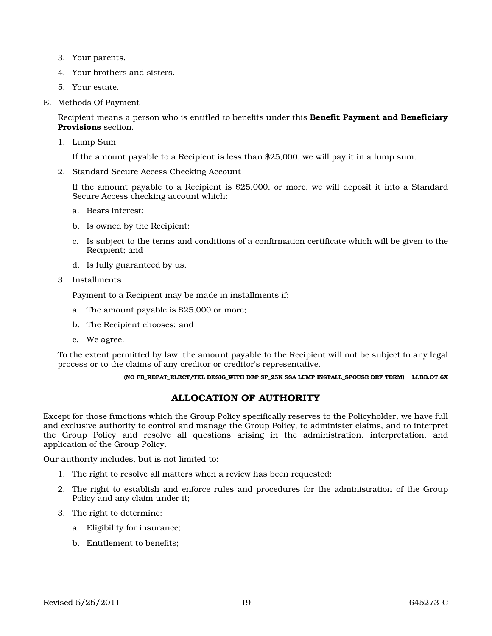- 3. Your parents.
- 4. Your brothers and sisters.
- 5. Your estate.
- E. Methods Of Payment

Recipient means a person who is entitled to benefits under this **Benefit Payment and Beneficiary** Provisions section.

1. Lump Sum

If the amount payable to a Recipient is less than \$25,000, we will pay it in a lump sum.

2. Standard Secure Access Checking Account

If the amount payable to a Recipient is \$25,000, or more, we will deposit it into a Standard Secure Access checking account which:

- a. Bears interest;
- b. Is owned by the Recipient;
- c. Is subject to the terms and conditions of a confirmation certificate which will be given to the Recipient; and
- d. Is fully guaranteed by us.
- 3. Installments

Payment to a Recipient may be made in installments if:

- a. The amount payable is \$25,000 or more;
- b. The Recipient chooses; and
- c. We agree.

To the extent permitted by law, the amount payable to the Recipient will not be subject to any legal process or to the claims of any creditor or creditor's representative.

(NO FB\_REPAT\_ELECT/TEL DESIG\_WITH DEF SP\_25K SSA LUMP INSTALL\_SPOUSE DEF TERM) LI.BB.OT.6X

# ALLOCATION OF AUTHORITY

Except for those functions which the Group Policy specifically reserves to the Policyholder, we have full and exclusive authority to control and manage the Group Policy, to administer claims, and to interpret the Group Policy and resolve all questions arising in the administration, interpretation, and application of the Group Policy.

Our authority includes, but is not limited to:

- 1. The right to resolve all matters when a review has been requested;
- 2. The right to establish and enforce rules and procedures for the administration of the Group Policy and any claim under it;
- 3. The right to determine:
	- a. Eligibility for insurance;
	- b. Entitlement to benefits;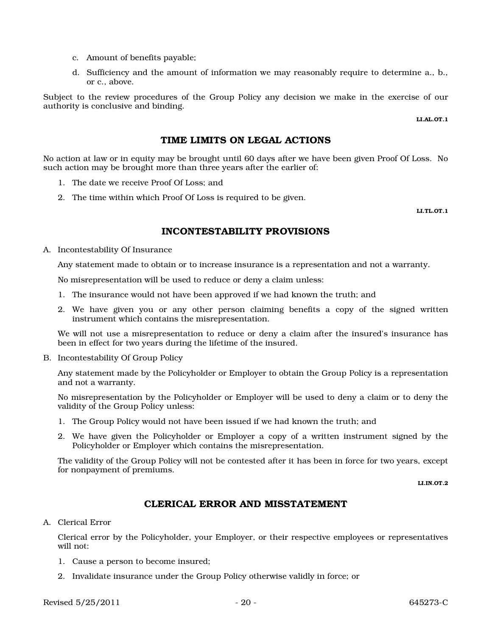- c. Amount of benefits payable;
- d. Sufficiency and the amount of information we may reasonably require to determine a., b., or c., above.

Subject to the review procedures of the Group Policy any decision we make in the exercise of our authority is conclusive and binding.

LI.AL.OT.1

# TIME LIMITS ON LEGAL ACTIONS

No action at law or in equity may be brought until 60 days after we have been given Proof Of Loss. No such action may be brought more than three years after the earlier of:

- 1. The date we receive Proof Of Loss; and
- 2. The time within which Proof Of Loss is required to be given.

LI.TL.OT.1

# INCONTESTABILITY PROVISIONS

A. Incontestability Of Insurance

Any statement made to obtain or to increase insurance is a representation and not a warranty.

No misrepresentation will be used to reduce or deny a claim unless:

- 1. The insurance would not have been approved if we had known the truth; and
- 2. We have given you or any other person claiming benefits a copy of the signed written instrument which contains the misrepresentation.

We will not use a misrepresentation to reduce or deny a claim after the insured's insurance has been in effect for two years during the lifetime of the insured.

B. Incontestability Of Group Policy

Any statement made by the Policyholder or Employer to obtain the Group Policy is a representation and not a warranty.

No misrepresentation by the Policyholder or Employer will be used to deny a claim or to deny the validity of the Group Policy unless:

- 1. The Group Policy would not have been issued if we had known the truth; and
- 2. We have given the Policyholder or Employer a copy of a written instrument signed by the Policyholder or Employer which contains the misrepresentation.

The validity of the Group Policy will not be contested after it has been in force for two years, except for nonpayment of premiums.

LI.IN.OT.2

# CLERICAL ERROR AND MISSTATEMENT

A. Clerical Error

Clerical error by the Policyholder, your Employer, or their respective employees or representatives will not:

- 1. Cause a person to become insured;
- 2. Invalidate insurance under the Group Policy otherwise validly in force; or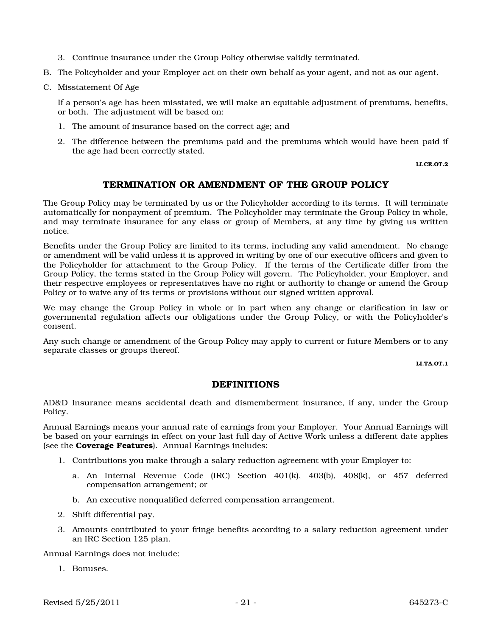- 3. Continue insurance under the Group Policy otherwise validly terminated.
- B. The Policyholder and your Employer act on their own behalf as your agent, and not as our agent.
- C. Misstatement Of Age

If a person's age has been misstated, we will make an equitable adjustment of premiums, benefits, or both. The adjustment will be based on:

- 1. The amount of insurance based on the correct age; and
- 2. The difference between the premiums paid and the premiums which would have been paid if the age had been correctly stated.

LI.CE.OT.2

# TERMINATION OR AMENDMENT OF THE GROUP POLICY

The Group Policy may be terminated by us or the Policyholder according to its terms. It will terminate automatically for nonpayment of premium. The Policyholder may terminate the Group Policy in whole, and may terminate insurance for any class or group of Members, at any time by giving us written notice.

Benefits under the Group Policy are limited to its terms, including any valid amendment. No change or amendment will be valid unless it is approved in writing by one of our executive officers and given to the Policyholder for attachment to the Group Policy. If the terms of the Certificate differ from the Group Policy, the terms stated in the Group Policy will govern. The Policyholder, your Employer, and their respective employees or representatives have no right or authority to change or amend the Group Policy or to waive any of its terms or provisions without our signed written approval.

We may change the Group Policy in whole or in part when any change or clarification in law or governmental regulation affects our obligations under the Group Policy, or with the Policyholder's consent.

Any such change or amendment of the Group Policy may apply to current or future Members or to any separate classes or groups thereof.

LI.TA.OT.1

# DEFINITIONS

AD&D Insurance means accidental death and dismemberment insurance, if any, under the Group Policy.

Annual Earnings means your annual rate of earnings from your Employer. Your Annual Earnings will be based on your earnings in effect on your last full day of Active Work unless a different date applies (see the Coverage Features). Annual Earnings includes:

- 1. Contributions you make through a salary reduction agreement with your Employer to:
	- a. An Internal Revenue Code (IRC) Section 401(k), 403(b), 408(k), or 457 deferred compensation arrangement; or
	- b. An executive nonqualified deferred compensation arrangement.
- 2. Shift differential pay.
- 3. Amounts contributed to your fringe benefits according to a salary reduction agreement under an IRC Section 125 plan.

Annual Earnings does not include:

1. Bonuses.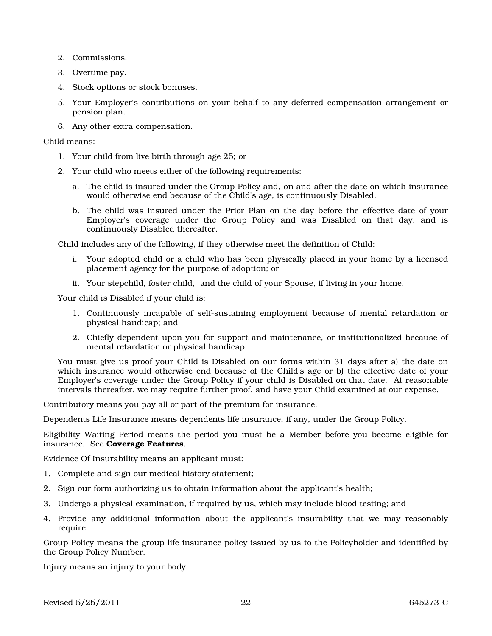- 2. Commissions.
- 3. Overtime pay.
- 4. Stock options or stock bonuses.
- 5. Your Employer's contributions on your behalf to any deferred compensation arrangement or pension plan.
- 6. Any other extra compensation.

### Child means:

- 1. Your child from live birth through age 25; or
- 2. Your child who meets either of the following requirements:
	- a. The child is insured under the Group Policy and, on and after the date on which insurance would otherwise end because of the Child's age, is continuously Disabled.
	- b. The child was insured under the Prior Plan on the day before the effective date of your Employer's coverage under the Group Policy and was Disabled on that day, and is continuously Disabled thereafter.

Child includes any of the following, if they otherwise meet the definition of Child:

- i. Your adopted child or a child who has been physically placed in your home by a licensed placement agency for the purpose of adoption; or
- ii. Your stepchild, foster child, and the child of your Spouse, if living in your home.

Your child is Disabled if your child is:

- 1. Continuously incapable of self-sustaining employment because of mental retardation or physical handicap; and
- 2. Chiefly dependent upon you for support and maintenance, or institutionalized because of mental retardation or physical handicap.

You must give us proof your Child is Disabled on our forms within 31 days after a) the date on which insurance would otherwise end because of the Child's age or b) the effective date of your Employer's coverage under the Group Policy if your child is Disabled on that date. At reasonable intervals thereafter, we may require further proof, and have your Child examined at our expense.

Contributory means you pay all or part of the premium for insurance.

Dependents Life Insurance means dependents life insurance, if any, under the Group Policy.

Eligibility Waiting Period means the period you must be a Member before you become eligible for insurance. See Coverage Features.

Evidence Of Insurability means an applicant must:

- 1. Complete and sign our medical history statement;
- 2. Sign our form authorizing us to obtain information about the applicant's health;
- 3. Undergo a physical examination, if required by us, which may include blood testing; and
- 4. Provide any additional information about the applicant's insurability that we may reasonably require.

Group Policy means the group life insurance policy issued by us to the Policyholder and identified by the Group Policy Number.

Injury means an injury to your body.